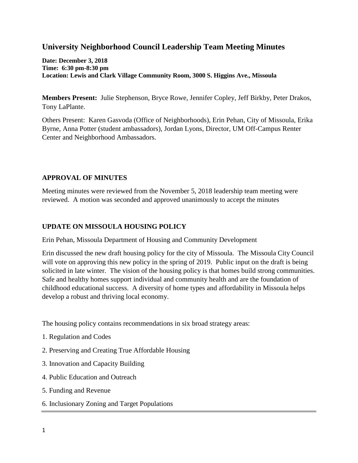# **University Neighborhood Council Leadership Team Meeting Minutes**

**Date: December 3, 2018 Time: 6:30 pm-8:30 pm Location: Lewis and Clark Village Community Room, 3000 S. Higgins Ave., Missoula**

**Members Present:** Julie Stephenson, Bryce Rowe, Jennifer Copley, Jeff Birkby, Peter Drakos, Tony LaPlante.

Others Present: Karen Gasvoda (Office of Neighborhoods), Erin Pehan, City of Missoula, Erika Byrne, Anna Potter (student ambassadors), Jordan Lyons, Director, UM Off-Campus Renter Center and Neighborhood Ambassadors.

# **APPROVAL OF MINUTES**

Meeting minutes were reviewed from the November 5, 2018 leadership team meeting were reviewed. A motion was seconded and approved unanimously to accept the minutes

# **UPDATE ON MISSOULA HOUSING POLICY**

Erin Pehan, Missoula Department of Housing and Community Development

Erin discussed the new draft housing policy for the city of Missoula. The Missoula City Council will vote on approving this new policy in the spring of 2019. Public input on the draft is being solicited in late winter. The vision of the housing policy is that homes build strong communities. Safe and healthy homes support individual and community health and are the foundation of childhood educational success. A diversity of home types and affordability in Missoula helps develop a robust and thriving local economy.

The housing policy contains recommendations in six broad strategy areas:

- 1. Regulation and Codes
- 2. Preserving and Creating True Affordable Housing
- 3. Innovation and Capacity Building
- 4. Public Education and Outreach
- 5. Funding and Revenue
- 6. Inclusionary Zoning and Target Populations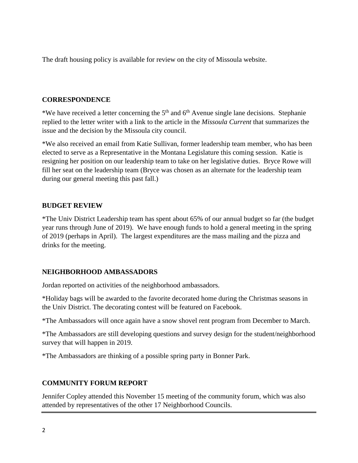The draft housing policy is available for review on the city of Missoula website.

#### **CORRESPONDENCE**

\*We have received a letter concerning the  $5<sup>th</sup>$  and  $6<sup>th</sup>$  Avenue single lane decisions. Stephanie replied to the letter writer with a link to the article in the *Missoula Current* that summarizes the issue and the decision by the Missoula city council.

\*We also received an email from Katie Sullivan, former leadership team member, who has been elected to serve as a Representative in the Montana Legislature this coming session. Katie is resigning her position on our leadership team to take on her legislative duties. Bryce Rowe will fill her seat on the leadership team (Bryce was chosen as an alternate for the leadership team during our general meeting this past fall.)

#### **BUDGET REVIEW**

\*The Univ District Leadership team has spent about 65% of our annual budget so far (the budget year runs through June of 2019). We have enough funds to hold a general meeting in the spring of 2019 (perhaps in April). The largest expenditures are the mass mailing and the pizza and drinks for the meeting.

# **NEIGHBORHOOD AMBASSADORS**

Jordan reported on activities of the neighborhood ambassadors.

\*Holiday bags will be awarded to the favorite decorated home during the Christmas seasons in the Univ District. The decorating contest will be featured on Facebook.

\*The Ambassadors will once again have a snow shovel rent program from December to March.

\*The Ambassadors are still developing questions and survey design for the student/neighborhood survey that will happen in 2019.

\*The Ambassadors are thinking of a possible spring party in Bonner Park.

# **COMMUNITY FORUM REPORT**

Jennifer Copley attended this November 15 meeting of the community forum, which was also attended by representatives of the other 17 Neighborhood Councils.